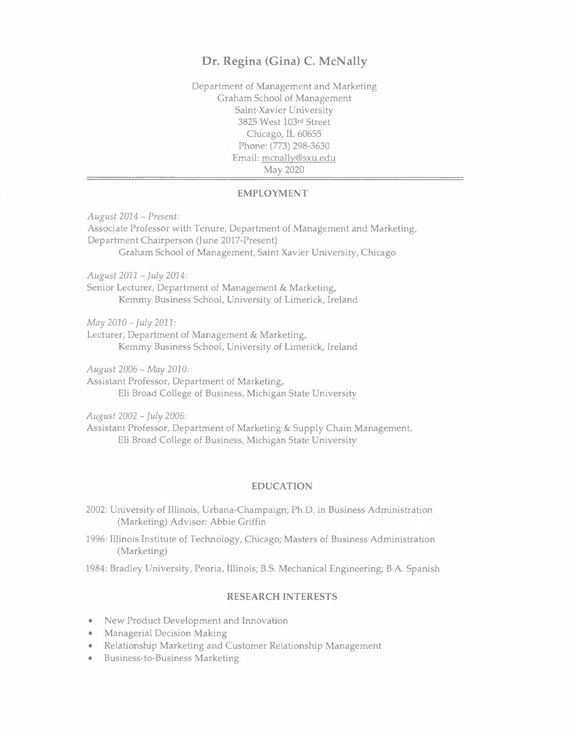Department of Management and Marketing Graham School of Management Saint Xavier University 3825 West 103rd Street Chicago, IL 60655 Phone: (773) 298-3630 Email: mcnally@sxu.edu May 2020

#### **EMPLOYMENT**

*August 2014 - Present:*  Associate Professor with Tenure, Department of Management and Marketing, Department Chairperson (June 2017-Present) Graham School of Management, Saint Xavier University, Chicago

*August 2011 - July 2014:* 

Senior Lecturer, Department of Management & Marketing, Kemmy Business School, University of Limerick, Ireland

*May 2010 - July 2011:* 

Lecturer, Department of Management & Marketing, Kemmy Business School, University of Limerick, Ireland

*August 2006 - May 2010:* 

Assistant Professor, Department of Marketing, Eli Broad College of Business, Michigan State University

*August* 2002 - *July 2006:* 

Assistant Professor, Department of Marketing & Supply Chain Management, Eli Broad College of Business, Michigan State University

#### **EDUCATION**

2002: University of Illinois, Urbana-Champaign; Ph.D. in Business Administration (Marketing) Advisor: Abbie Griffin

1996: Illinois Institute of Technology, Chicago; Masters of Business Administration (Marketing)

1984: Bradley University, Peoria, Illinois; B.S. Mechanical Engineering; B.A. Spanish

#### **RESEARCH INTERESTS**

- New Product Development and Innovation
- Managerial Decision Making
- Relationship Marketing and Customer Relationship Management
- Business-to-Business Marketing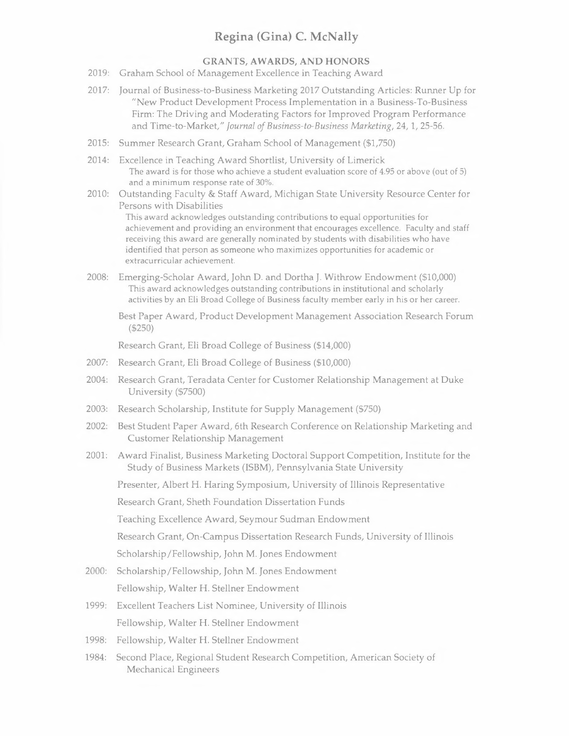### **GRANTS, AWARDS, AND HONORS**

- 2019: Graham School of Management Excellence in Teaching Award
- 2017: Journal of Business-to-Business Marketing 2017 Outstanding Articles: Runner Up for **"New** Product Development Process Implementation in a Business-To-Business Firm: The Driving and Moderating Factors for Improved Program Performance and Time-to-Market," *Journal of Business-to-Business Marketing,* 24, 1, 25-56.
- 2015: Summer Research Grant, Graham School of Management (\$1,750)
- 2014: Excellence in Teaching Award Shortlist, University of Limerick The award is for those who achieve a student evaluation score of 4.95 or above (out of 5) and a minimum response rate of 30%.
- 2010: Outstanding Faculty & Staff Award, Michigan State University Resource Center for Persons with Disabilities

This award acknowledges outstanding contributions to equal opportunities for achievement and providing an environment that encourages excellence. Faculty and staff receiving this award are generally nominated by students with disabilities who have identified that person as someone who maximizes opportunities for academic or extracurricular achievement.

- 2008: Emerging-Scholar Award, John D. and Dortha J. Withrow Endowment (\$10,000) This award acknowledges outstanding contributions in institutional and scholarly activities by an Eli Broad College of Business faculty member early in his or her career.
	- Best Paper Award, Product Development Management Association Research Forum (\$250)

Research Grant, Eli Broad College of Business (\$14,000)

- 2007: Research Grant, Eli Broad College of Business (\$10,000)
- 2004: Research Grant, Teradata Center for Customer Relationship Management at Duke University (\$7500)
- 2003: Research Scholarship, Institute for Supply Management (\$750)
- 2002: Best Student Paper Award, 6th Research Conference on Relationship Marketing and Customer Relationship Management
- 2001: Award Finalist, Business Marketing Doctoral Support Competition, Institute for the Study of Business Markets (ISBM), Pennsylvania State University

Presenter, Albert H. Haring Symposium, University of Illinois Representative

Research Grant, Sheth Foundation Dissertation Funds

Teaching Excellence Award, Seymour Sudman Endowment

Research Grant, On-Campus Dissertation Research Funds, University of Illinois

Scholarship/Fellowship, John **M.** Jones Endowment

- 2000: Scholarship/Fellowship, John M. Jones Endowment Fellowship, Walter H. Stellner Endowment
- 1999: Excellent Teachers List Nominee, University of Illinois Fellowship, Walter H. Stellner Endowment
- 1998: Fellowship, Walter H. Stellner Endowment
- 1984: Second Place, Regional Student Research Competition, American Society of Mechanical Engineers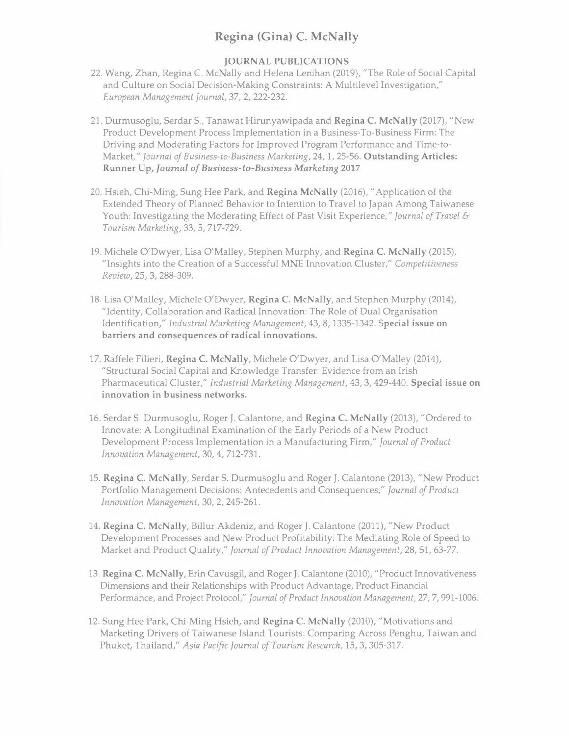### **JOURNAL PUBLICATIONS**

- 22. Wang, Zhan, Regina C. McNally and Helena Lenihan (2019), "The Role of Social Capital and Culture on Social Decision-Making Constraints: A Multilevel Investigation," *European Management Journal,* 37, 2, 222-232.
- 21. Durmusoglu, Serdar S., Tanawat Hirunyawipada and **Regina C. McNally** (2017), "New Product Development Process Implementation in a Business-To-Business Firm: The Driving and Moderating Factors for Improved Program Performance and Time-to-Market," *Journal of Business-to-Business Marketing,* 24, 1, 25-56. **Outstanding Articles: Runner Up,** *Journal of Business-to-Business Marketing* **<sup>2017</sup>**
- 20. Hsieh, Chi-Ming, Sung Hee Park, and **Regina McNally** (2016), "Application of the Extended Theory of Planned Behavior to Intention to Travel to Japan Among Taiwanese Youth: Investigating the Moderating Effect of Past Visit Experience," *Journal of Travel* & *Tourism Marketing,* 33, 5, 717-729.
- 19. Michele O'Dwyer, Lisa O'Malley, Stephen Murphy, and **Regina C. McNally** (2015), "Insights into the Creation of a Successful MNE Innovation Cluster," *Competitiveness Review,* 25, 3, 288-309.
- 18. Lisa O'Malley, Michele O'Dwyer, **Regina C. McNally,** and Stephen Murphy (2014), "Identity, Collaboration and Radical Innovation: The Role of Dual Organisation Identification," *Industrial Marketing Management,* 43, 8, 1335-1342. **Special issue on barriers and consequences of radical innovations.**
- 17. Raffele Filieri, **Regina C. McNally,** Michele O'Dwyer, and Lisa O'Malley (2014), "Structural Social Capital and Knowledge Transfer: Evidence from an Irish Pharmaceutical Cluster," *Industrial Marketing Management,* 43, 3, 429-440. **Special issue on innovation in business networks.**
- 16. Serdar S. Durmusoglu, Roger J. Calantone, and **Regina C. McNally** (2013), "Ordered to Innovate: A Longitudinal Examination of the Early Periods of a New Product Development Process Implementation in a Manufacturing Firm," *Journal of Product Innovation Management,* 30, 4, 712-731.
- 15. **Regina C. McNally,** Serdar S. Durmusoglu and Roger J. Calantone (2013), "New Product Portfolio Management Decisions: Antecedents and Consequences," *Journal of Product Innovation Management,* 30, 2, 245-261.
- 14. **Regina C. McNally,** Billur Akdeniz, and Roger J. Calantone (2011), "New Product Development Processes and New Product Profitability: The Mediating Role of Speed to Market and Product Quality," *Journal of Product Innovation Management,* 28, Sl , 63-77.
- 13. **Regina C. McNally,** Erin Cavusgil, and Roger J. Calantone (2010), "Product Innovativeness Dimensions and their Relationships with Product Advantage, Product Financial Performance, and Project Protocol," *Journal of Product Innovation Management,* 27, 7, 991-1006.
- 12. Sung Hee Park, Chi-Ming Hsieh, and **Regina C. McNally** (2010), "Motivations and Marketing Drivers of Taiwanese Island Tourists: Comparing Across Penghu, Taiwan and Phuket, Thailand," *Asia Pacific Journal of Tourism Research,* 15, 3, 305-317.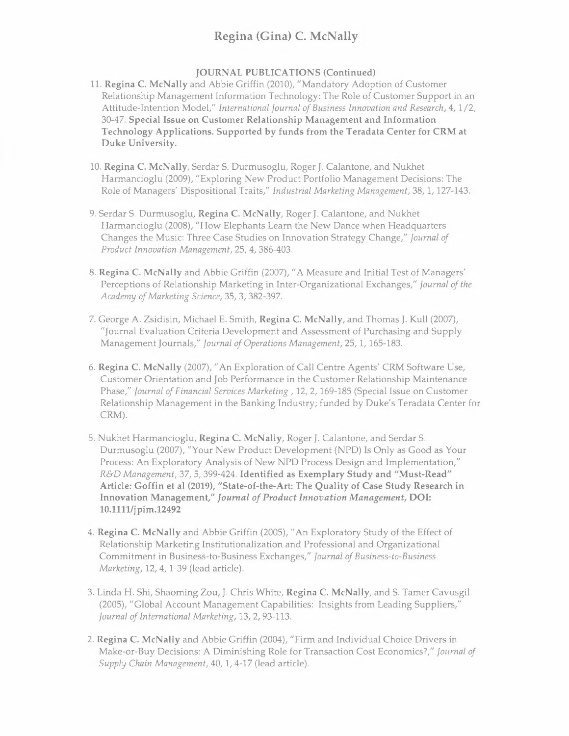### **JOURNAL PUBLICATIONS (Continued)**

- 11. **Regina C. McNally** and Abbie Griffin (2010), "Mandatory Adoption of Customer Relationship Management Information Technology: The Role of Customer Support in an Attitude-Intention Model," *International Journal of Business Innovation and Research,* 4, 1/2, 30-47. **Special Issue on Customer Relationship Management and Information Technology Applications. Supported by funds from the Teradata Center for CRM at Duke University.**
- 10. **Regina C. McNally,** Serdar S. Durmusoglu, Roger J. Calantone, and Nukhet Harmancioglu (2009), "Exploring New Product Portfolio Management Decisions: The Role of Managers' Dispositional Traits," *Industrial Marketing Management,* 38, 1, 127-143.
- 9. Serdar S. Durmusoglu, **Regina C. McNally,** Roger J. Calantone, and Nukhet Harmancioglu (2008), "How Elephants Learn the New Dance when Headquarters Changes the Music: Three Case Studies on Innovation Strategy Change," *Journal of Product Innovation Management,* 25, 4, 386-403.
- 8. **Regina C. McNally** and Abbie Griffin (2007), "A Measure and Initial Test of Managers' Perceptions of Relationship Marketing in Inter-Organizational Exchanges," *Journal of the Academy of Marketing Science,* 35, 3, 382-397.
- 7. George A. Zsidisin, Michael E. Smith, **Regina C. McNally,** and Thomas J. Kull (2007), "Journal Evaluation Criteria Development and Assessment of Purchasing and Supply Management Journals," *Journal of Operations Management,* 25, 1, 165-183.
- 6. **Regina C. McNally** (2007), "An Exploration of Call Centre Agents' CRM Software Use, Customer Orientation and Job Performance in the Customer Relationship Maintenance Phase," *Journal of Financial Services Marketing,* 12, 2, 169-185 (Special Issue on Customer Relationship Management in the Banking Industry; funded by Duke's Teradata Center for CRM).
- 5. Nukhet Harmancioglu, **Regina C. McNally,** Roger J. Calantone, and Serdar S. Durmusoglu (2007), "Your New Product Development (NPD) Is Only as Good as Your Process: An Exploratory Analysis of New NPD Process Design and Implementation," *R&D Management,* 37, 5, 399-424. **Identified as Exemplary Study and "Must-Read" Article: Goffin et al (2019), "State-of-the-Art: The Quality of Case Study Research in Innovation Management,"** *Journal of Product Innovation Management,* **DOI: 10.1111/jpim.12492**
- 4. **Regina C. McNally** and Abbie Griffin (2005), "An Exploratory Study of the Effect of Relationship Marketing Institutionalization and Professional and Organizational Commitment in Business-to-Business Exchanges," *Journal of Business-to-Business Marketing,* 12, 4, 1-39 (lead article).
- 3. Linda H. Shi, Shaoming Zou, J. Chris White, **Regina C. McNally,** and S. Tamer Cavusgil (2005), "Global Account Management Capabilities: Insights from Leading Suppliers," *Journal of International Marketing,* 13, 2, 93-113.
- 2. **Regina C. McNally** and Abbie Griffin (2004), "Firm and Individual Choice Drivers in Make-or-Buy Decisions: A Diminishing Role for Transaction Cost Economics?," *Journal of Supply Chain Management,* 40, 1, 4-17 (lead article).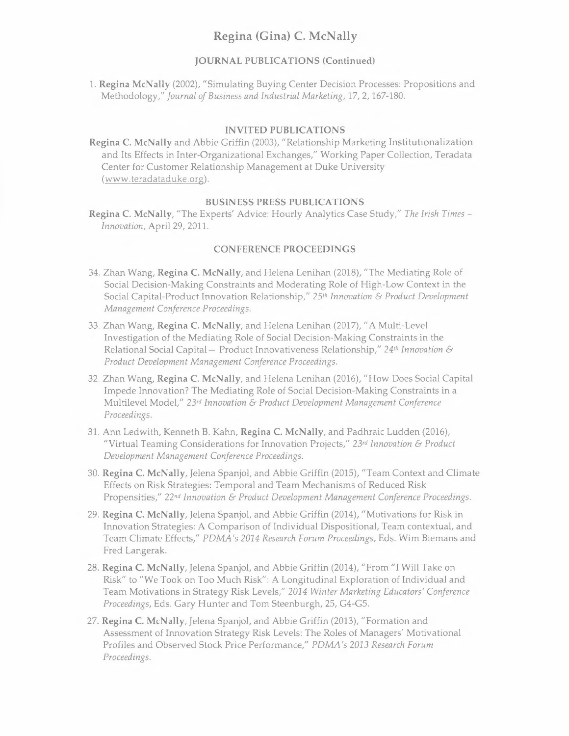#### **JOURNAL PUBLICATIONS (Continued)**

l. **Regina McNally** (2002), "Simulating Buying Center Decision Processes: Propositions and Methodology," *Journal of Business and Industrial Marketing,* 17, 2, 167-180.

#### **INVITED PUBLICATIONS**

**Regina C. McNally** and Abbie Griffin (2003), "Relationship Marketing Institutionalization and Its Effects in Inter-Organizational Exchanges," Working Paper Collection, Teradata Center for Customer Relationship Management at Duke University (www.teradataduke.org).

#### **BUSINESS PRESS PUBLICATIONS**

**Regina C. McNally,** "The Experts' Advice: Hourly Analytics Case Study," *The Irish Times - Innovation,* April 29, 2011.

#### **CONFERENCE PROCEEDINGS**

- 34. Zhan Wang, **Regina C. McNally,** and Helena Lenihan (2018), "The Mediating Role of Social Decision-Making Constraints and Moderating Role of High-Low Context in the Social Capital-Product Innovation Relationship," 251" *Innovation* & *Product Development Management Conference Proceedings.*
- 33. Zhan Wang, **Regina C. McNally,** and Helena Lenihan (2017), "A Multi-Level Investigation of the Mediating Role of Social Decision-Making Constraints in the Relational Social Capital- Product Innovativeness Relationship," *<sup>24</sup>1" Innovation* & *Product Development Management Conference Proceedings.*
- 32. Zhan Wang, **Regina C. McNally,** and Helena Lenihan (2016), "How Does Social Capital Impede Innovation? The Mediating Role of Social Decision-Making Constraints in a Multilevel Model," *23rd Innovation* & *Product Development Management Conference Proceedings.*
- 31. Ann Ledwith, Kenneth B. Kahn, **Regina C. McNally,** and Padhraic Ludden (2016), "Virtual Teaming Considerations for Innovation Projects," *23rd Innovation* & *Product Development Management Conference Proceedings.*
- 30. **Regina C. McNally,** Jelena Spanjol, and Abbie Griffin (2015), "Team Context and Climate Effects on Risk Strategies: Temporal and Team Mechanisms of Reduced Risk Propensities," *22nd Innovation* & *Product Development Management Conference Proceedings.*
- 29. **Regina C. McNally,** Jelena Spanjol, and Abbie Griffin (2014), "Motivations for Risk in Innovation Strategies: A Comparison of Individual Dispositional, Team contextual, and Team Climate Effects," *PDMA's 2014 Research Forum Proceedings,* Eds. Wim Biemans and Fred Langerak.
- 28. **Regina C. McNally,** Jelena Spanjol, and Abbie Griffin (2014), "From "I Will Take on Risk" to "We Took on Too Much Risk": A Longitudinal Exploration of Individual and Team Motivations in Strategy Risk Levels," *2014 Winter Marketing Educators' Conference Proceedings,* Eds. Gary Hunter and Tom Steenburgh, 25, G4-G5.
- 27. **Regina C. McNally,** Jelena Spanjol, and Abbie Griffin (2013), "Formation and Assessment of Innovation Strategy Risk Levels: The Roles of Managers' Motivational Profiles and Observed Stock Price Performance," *PDMA's 2013 Research Forum Proceedings.*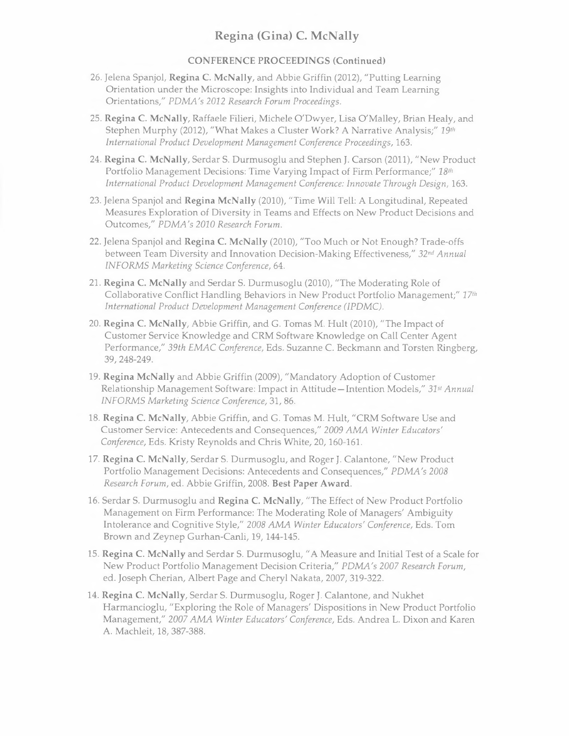## **CONFERENCE PROCEEDINGS (Continued)**

- 26. Jelena Spanjol, **Regina C. McNally,** and Abbie Griffin (2012), "Putting Learning Orientation under the Microscope: Insights into Individual and Team Learning Orientations," *PDMA's 2012 Research Forum Proceedings.*
- 25. **Regina C. McNally,** Raffaele Filieri, Michele O'Dwyer, Lisa O'Malley, Brian Healy, and Stephen Murphy (2012), "What Makes a Cluster Work? A Narrative Analysis;" *19th International Product Development Management Conference Proceedings,* 163.
- 24. **Regina C. McNally,** Serdar S. Durmusoglu and Stephen J. Carson (2011), "New Product Portfolio Management Decisions: Time Varying Impact of Firm Performance;" *18<sup>111</sup>* International Product Development Management Conference: Innovate Through Design, 163.
- 23. Jelena Spanjol and **Regina McNally** (2010), "Time Will Tell: A Longitudinal, Repeated Measures Exploration of Diversity in Teams and Effects on New Product Decisions and Outcomes," *PDMA's 2010 Research Forum.*
- 22. Jelena Spanjol and **Regina C. McNally** (2010), "Too Much or Not Enough? Trade-offs between Team Diversity and Innovation Decision-Making Effectiveness," *32nd Annual INFORMS Marketing Science Conference,* 64.
- 21. **Regina C. McNally** and Serdar S. Durmusoglu (2010), "The Moderating Role of Collaborative Conflict Handling Behaviors in New Product Portfolio Management;" *<sup>17</sup><sup>111</sup> International Product Development Management Conference (IPDMC).*
- 20. **Regina C. McNally,** Abbie Griffin, and G. Tomas M. Hult (2010), "The Impact of Customer Service Knowledge and CRM Software Knowledge on Call Center Agent Performance," *39th £MAC Conference,* Eds. Suzanne C. Beckmann and Torsten Ringberg, 39, 248-249.
- 19. **Regina McNally** and Abbie Griffin (2009), "Mandatory Adoption of Customer Relationship Management Software: Impact in Attitude-Intention Models," *31st Annual INFORMS Marketing Science Conference,* 31, 86.
- 18. **Regina C. McNally,** Abbie Griffin, and G. Tomas M. Hult, "CRM Software Use and Customer Service: Antecedents and Consequences," 2009 *AMA Winter Educators' Conference,* Eds. Kristy Reynolds and Chris White, 20, 160-161.
- 17. **Regina C. McNally,** Serdar S. Durmusoglu, and Roger J. Calantone, "New Product Portfolio Management Decisions: Antecedents and Consequences," *PDMA's 2008 Research Forum,* ed. Abbie Griffin, 2008. **Best Paper Award.**
- 16. Serdar S. Durmusoglu and **Regina C. McNally,** "The Effect of New Product Portfolio Management on Firm Performance: The Moderating Role of Managers' Ambiguity Intolerance and Cognitive Style," *2008 AMA Winter Educators' Conference,* Eds. Tom Brown and Zeynep Gurhan-Canli, 19, 144-145.
- 15. **Regina C. McNally** and Serdar S. Durmusoglu, "A Measure and Initial Test of a Scale for New Product Portfolio Management Decision Criteria," *PDMA's* 2007 *Research Forum,*  ed. Joseph Cherian, Albert Page and Cheryl Nakata, 2007, 319-322.
- 14. **Regina C. McNally,** Serdar S. Durmusoglu, Roger J. Calantone, and Nukhet Harmancioglu, "Exploring the Role of Managers' Dispositions in New Product Portfolio Management," 2007 *AMA Winter Educators' Conference,* Eds. Andrea L. Dixon and Karen A. Machleit, 18, 387-388.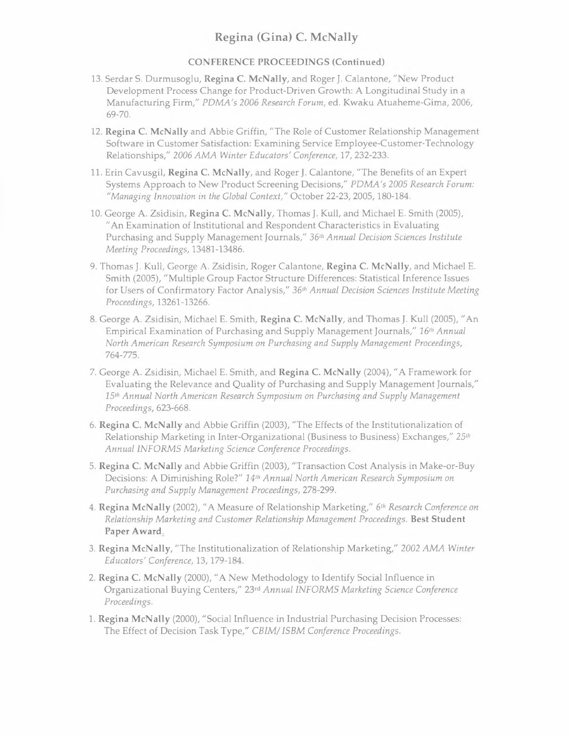### **CONFERENCE PROCEEDINGS (Continued)**

- 13. Serdar S. Durmusoglu, **Regina C. McNally,** and Roger J. Calantone, "New Product Development Process Change for Product-Driven Growth: A Longitudinal Study in a Manufacturing Firm," *PDMA's 2006 Research Forum,* ed. Kwaku Atuaheme-Gima, 2006, 69-70.
- 12. **Regina C. McNally** and Abbie Griffin, "The Role of Customer Relationship Management Software in Customer Satisfaction: Examining Service Employee-Customer-Technology Relationships," *2006 AMA Winter Educators' Conference,* 17, 232-233.
- 11. Erin Cavusgil, **Regina C. McNally,** and Roger **J.** Calantone, "The Benefits of an Expert Systems Approach to New Product Screening Decisions," *PDMA's* 2005 *Research Forum: "Managing Innovation in the Global Context,"* October 22-23, 2005, 180-184.
- 10. George A. Zsidisin, **Regina C. McNally,** Thomas J. Kull, and Michael E. Smith (2005), "An Examination of Institutional and Respondent Characteristics in Evaluating Purchasing and Supply Management Journals," *36th Annual Decision Sciences Institute Meeting Proceedings,* 13481-13486.
- 9. Thomas **J.** Kull, George A. Zsidisin, Roger Calantone, **Regina C. McNally,** and Michael E. Smith (2005), "Multiple Group Factor Structure Differences: Statistical Inference Issues for Users of Confirmatory Factor Analysis," *36th Annual Decision Sciences Institute Meeting Proceedings,* 13261-13266.
- 8. George A. Zsidisin, Michael E. Smith, **Regina C. McNally,** and Thomas **J.** Kull (2005), "An Empirical Examination of Purchasing and Supply Management Journals," *16th Annual North American Research Symposium on Purchasing and Supply Management Proceedings,*  764-775.
- 7. George A. Zsidisin, Michael E. Smith, and **Regina C. McNally** (2004), "A Framework for Evaluating the Relevance and Quality of Purchasing and Supply Management Journals," *15th Annual North American Research Symposium on Purchasing and Supply Management Proceedings,* 623-668.
- 6. **Regina C. McNally** and Abbie Griffin (2003), "The Effects of the Institutionalization of Relationship Marketing in Inter-Organizational (Business to Business) Exchanges," *25th Annual INFORMS Marketing Science Conference Proceedings.*
- 5. **Regina C. McNally** and Abbie Griffin (2003), "Transaction Cost Analysis in Make-or-Buy Decisions: A Diminishing Role?" *14th Annual North American Research Symposium on Purchasing and Supply Management Proceedings,* 278-299.
- **4. Regina McNally** (2002), "A Measure of Relationship Marketing," *6th Research Conference on Relationship Marketing and Customer Relationship Management Proceedings.* **Best Student Paper Award,**
- 3. **Regina McNally,** "The Institutionalization of Relationship Marketing," 2002 *AMA Winter Educators' Conference,* 13, 179-184.
- 2. **Regina C. McNally** (2000), "A New Methodology to Identify Social Influence in Organizational Buying Centers," 23rd *Annual INFORMS Marketing Science Conference Proceedings.*
- l. **Regina McNally** (2000), "Social Influence in Industrial Purchasing Decision Processes: The Effect of Decision Task Type," *CBIM/ ISBM Conference Proceedings.*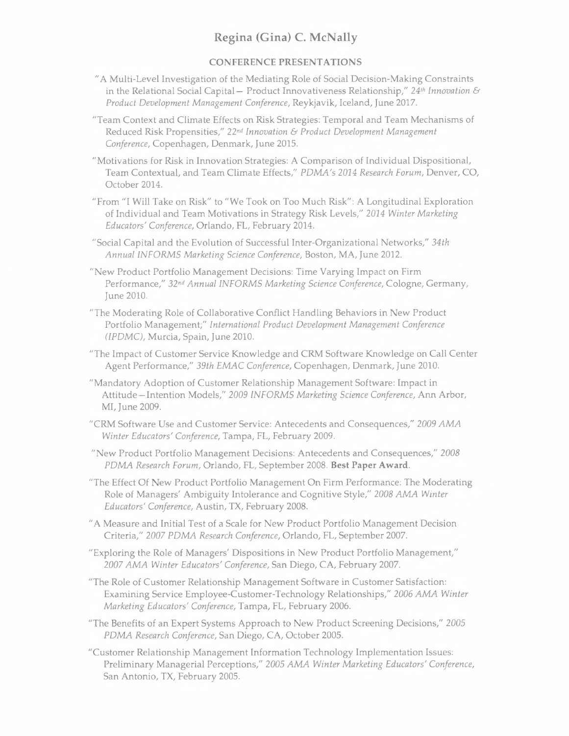### **CONFERENCE PRESENTATIONS**

- "A Multi-Level Investigation of the Mediating Role of Social Decision-Making Constraints in the Relational Social Capital- Product Innovativeness Relationship," 24<sup>th</sup> Innovation & *Product Development Management Conference,* Reykjavik, Iceland, June 2017.
- "Team Context and Climate Effects on Risk Strategies: Temporal and Team Mechanisms of Reduced Risk Propensities," *22nd Innovation* & *Product Development Management Conference,* Copenhagen, Denmark, June 2015.
- "Motivations for Risk in Innovation Strategies: A Comparison of Individual Dispositional, Team Contextual, and Team Climate Effects," *POMA's 2014 Research Forum,* Denver, CO, October 2014.
- "From "I Will Take on Risk" to "We Took on Too Much Risk": A Longitudinal Exploration of Individual and Team Motivations in Strategy Risk Levels," *2014 Winter Marketing Educators' Conference,* Orlando, FL, February 2014.
- "Social Capital and the Evolution of Successful Inter-Organizational Networks," *34th Annual INFORMS Marketing Science Conference,* Boston, MA, June 2012.
- "New Product Portfolio Management Decisions: Time Varying Impact on Firm Performance," *32nd Annual INFORMS Marketing Science Conference,* Cologne, Germany, June 2010.
- "The Moderating Role of Collaborative Conflict Handling Behaviors in New Product Portfolio Management;" *International Product Development Management Conference (IPOMC),* Murcia, Spain, June 2010.
- "The Impact of Customer Service Knowledge and CRM Software Knowledge on Call Center Agent Performance," *39th EMAC Conference,* Copenhagen, Denmark, June 2010.
- "Mandatory Adoption of Customer Relationship Management Software: Impact in Attitude-Intention Models," *2009 INFORMS Marketing Science Conference,* Ann Arbor, MI, June 2009.
- "CRM Software Use and Customer Service: Antecedents and Consequences," *2009 AMA Winter Educators' Conference,* Tampa, FL, February 2009.
- "New Product Portfolio Management Decisions: Antecedents and Consequences," *2008 POMA Research Forum,* Orlando, FL, September 2008. **Best Paper Award.**
- "The Effect Of New Product Portfolio Management On Firm Performance: The Moderating Role of Managers' Ambiguity Intolerance and Cognitive Style," *2008 AMA Winter Educators' Conference,* Austin, TX, February 2008.
- "A Measure and Initial Test of a Scale for New Product Portfolio Management Decision Criteria," 2007 *POMA Research Conference,* Orlando, FL, September 2007.
- "Exploring the Role of Managers' Dispositions in New Product Portfolio Management," <sup>2007</sup>*AMA Winter Educators' Conference,* San Diego, CA, February 2007.
- "The Role of Customer Relationship Management Software in Customer Satisfaction: Examining Service Employee-Customer-Technology Relationships," 2006 *AMA Winter Marketing Educators' Conference,* Tampa, FL, February 2006.
- "The Benefits of an Expert Systems Approach to New Product Screening Decisions," 2005 *POMA Research Conference,* San Diego, CA, October 2005.
- "Customer Relationship Management Information Technology Implementation Issues: Preliminary Managerial Perceptions," 2005 *AMA Winter Marketing Educators' Conference,*  San Antonio, TX, February 2005.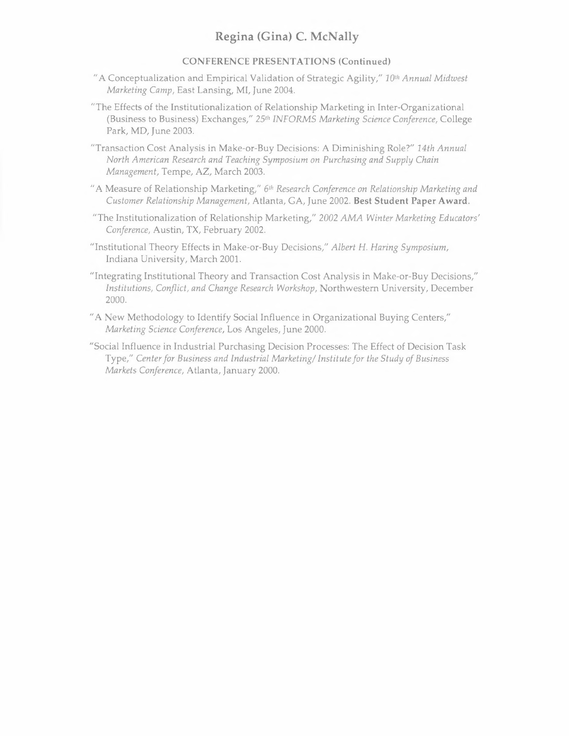### **CONFERENCE PRESENTATIONS (Continued)**

- "A Conceptualization and Empirical Validation of Strategic Agility," *10th Annual Midwest Marketing Camp,* East Lansing, **Ml,** June 2004.
- "The Effects of the Institutionalization of Relationship Marketing in Inter-Organizational (Business to Business) Exchanges," *25th INFORMS Marketing Science Conference,* College Park, MD, June 2003.
- "Transaction Cost Analysis in Make-or-Buy Decisions: A Diminishing Role?" *14th Annual North American Research and Teaching Symposium on Purchasing and Supply Chain Management,* Tempe, AZ, March 2003.
- "A Measure of Relationship Marketing," *6th Research Conference on Relationship Marketing and Customer Relationship Management,* Atlanta, GA, June 2002. **Best Student Paper Award.**
- "The Institutionalization of Relationship Marketing," 2002 *AMA Winter Marketing Educators' Conference,* Austin, TX, February 2002.
- "Institutional Theory Effects in Make-or-Buy Decisions," *Albert H. Haring Symposium,*  Indiana University, March 2001.
- "Integrating Institutional Theory and Transaction Cost Analysis in Make-or-Buy Decisions," *Institutions, Conflict, and Change Research Workshop,* Northwestern University, December 2000.
- "A New Methodology to Identify Social Influence in Organizational Buying Centers," *Marketing Science Conference,* Los Angeles, June 2000.
- "Social Influence in Industrial Purchasing Decision Processes: The Effect of Decision Task Type," *Center for Business and Industrial Marketing/ Institute for the Study of Business Markets Conference,* Atlanta, January 2000.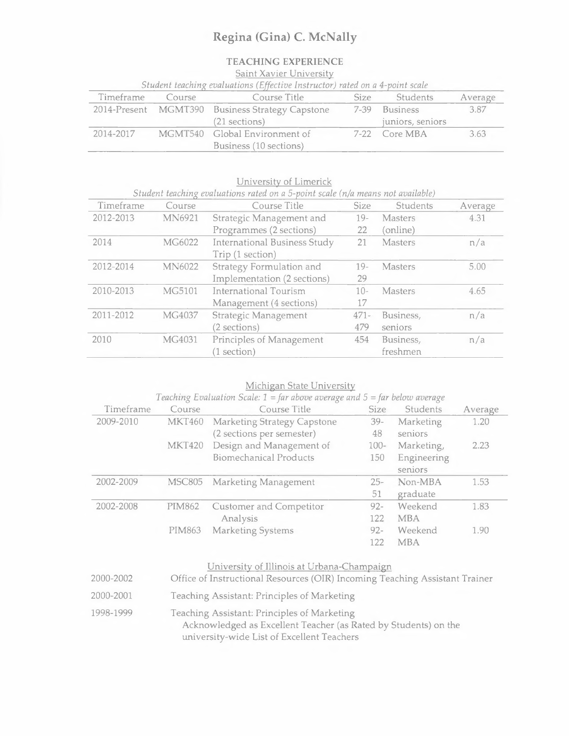# **TEACHING EXPERIENCE**

Saint Xavier University

| Student teaching evaluations (Effective Instructor) rated on a 4-point scale |        |                                                 |      |                  |         |
|------------------------------------------------------------------------------|--------|-------------------------------------------------|------|------------------|---------|
| Timeframe                                                                    | Course | Course Title                                    | Size | Students         | Average |
|                                                                              |        | 2014-Present MGMT390 Business Strategy Capstone |      | 7-39 Business    | 3.87    |
|                                                                              |        | (21 sections)                                   |      | juniors, seniors |         |
| 2014-2017                                                                    |        | MGMT540 Global Environment of                   |      | 7-22 Core MBA    | 3.63    |
|                                                                              |        | Business (10 sections)                          |      |                  |         |

| Timeframe | Course        | Student teaching evaluations rated on a 5-point scale (n/a means not available)<br>Course Title | <b>Size</b> | Students       | Average |
|-----------|---------------|-------------------------------------------------------------------------------------------------|-------------|----------------|---------|
| 2012-2013 | MN6921        | Strategic Management and                                                                        | $19-$       | <b>Masters</b> | 4.31    |
|           |               | Programmes (2 sections)                                                                         | 22          | (online)       |         |
| 2014      | MG6022        | <b>International Business Study</b>                                                             | 21          | <b>Masters</b> | n/a     |
|           |               | Trip (1 section)                                                                                |             |                |         |
| 2012-2014 | <b>MN6022</b> | Strategy Formulation and                                                                        | $19-$       | Masters        | 5.00    |
|           |               | Implementation (2 sections)                                                                     | 29          |                |         |
| 2010-2013 | MG5101        | International Tourism                                                                           | $10-$       | Masters        | 4.65    |
|           |               | Management (4 sections)                                                                         | 17          |                |         |
| 2011-2012 | MG4037        | Strategic Management                                                                            | $471 -$     | Business,      | n/a     |
|           |               | (2 sections)                                                                                    | 479         | seniors        |         |
| 2010      | MG4031        | Principles of Management                                                                        | 454         | Business,      | n/a     |
|           |               | (1 section)                                                                                     |             | freshmen       |         |

University of Limerick

|           |               | <b>Michigan State University</b>                                                             |             |             |         |
|-----------|---------------|----------------------------------------------------------------------------------------------|-------------|-------------|---------|
|           |               | Teaching Evaluation Scale: $1 = \text{far}$ above average and $5 = \text{far}$ below average |             |             |         |
| Timeframe | Course        | Course Title                                                                                 | <b>Size</b> | Students    | Average |
| 2009-2010 | <b>MKT460</b> | <b>Marketing Strategy Capstone</b>                                                           | $39-$       | Marketing   | 1.20    |
|           |               | (2 sections per semester)                                                                    | 48          | seniors     |         |
|           | <b>MKT420</b> | Design and Management of                                                                     | $100 -$     | Marketing,  | 2.23    |
|           |               | <b>Biomechanical Products</b>                                                                | 150         | Engineering |         |
|           |               |                                                                                              |             | seniors     |         |
| 2002-2009 | <b>MSC805</b> | Marketing Management                                                                         | $25 -$      | Non-MBA     | 1.53    |
|           |               |                                                                                              | 51          | graduate    |         |
| 2002-2008 | <b>PIM862</b> | <b>Customer and Competitor</b>                                                               | $92 -$      | Weekend     | 1.83    |
|           |               | Analysis                                                                                     | 122         | <b>MBA</b>  |         |
|           | <b>PIM863</b> | Marketing Systems                                                                            | $92 -$      | Weekend     | 1.90    |
|           |               |                                                                                              | 122         | <b>MBA</b>  |         |
|           |               |                                                                                              |             |             |         |

# University of Illinois at Urbana-Champaign

| 2000-2002 | Office of Instructional Resources (OIR) Incoming Teaching Assistant Trainer                                                                                  |
|-----------|--------------------------------------------------------------------------------------------------------------------------------------------------------------|
| 2000-2001 | Teaching Assistant: Principles of Marketing                                                                                                                  |
| 1998-1999 | Teaching Assistant: Principles of Marketing<br>Acknowledged as Excellent Teacher (as Rated by Students) on the<br>university-wide List of Excellent Teachers |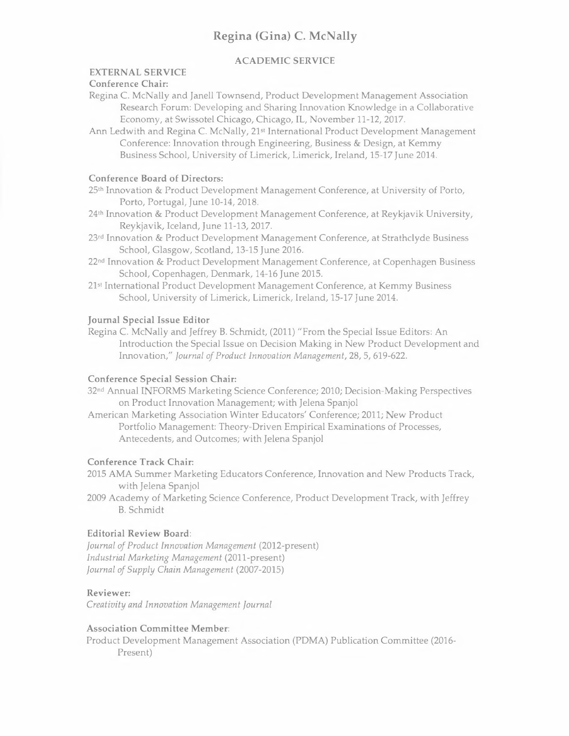# **ACADEMIC SERVICE**

# **EXTERNAL SERVICE**

#### **Conference Chair:**

Regina C. McNally and Janell Townsend, Product Development Management Association Research Forum: Developing and Sharing Innovation Knowledge in a Collaborative Economy, at Swissotel Chicago, Chicago, IL, November 11-12, 2017.

Ann Ledwith and Regina C. McNally, 21st International Product Development Management Conference: Innovation through Engineering, Business & Design, at Kemmy Business School, University of Limerick, Limerick, Ireland, 15-17 June 2014.

#### **Conference Board of Directors:**

25th Innovation & Product Development Management Conference, at University of Porto, Porto, Portugal, June 10-14, 2018.

24th Innovation & Product Development Management Conference, at Reykjavik University, Reykjavik, Iceland, June 11-13, 2017.

23 rd Innovation & Product Development Management Conference, at Strathclyde Business School, Glasgow, Scotland, 13-15 June 2016.

22 nd Innovation & Product Development Management Conference, at Copenhagen Business School, Copenhagen, Denmark, 14-16 June 2015.

21st International Product Development Management Conference, at Kemmy Business School, University of Limerick, Limerick, Ireland, 15-17 June 2014.

#### **Journal Special Issue Editor**

Regina C. McNally and Jeffrey B. Schmidt, (2011) "From the Special Issue Editors: An Introduction the Special Issue on Decision Making in New Product Development and Innovation," *Journal of Product Innovation Management,* 28, 5, 619-622.

#### **Conference Special Session Chair:**

32 nd Annual INFORMS Marketing Science Conference; 2010; Decision-Making Perspectives on Product Innovation Management; with Jelena Spanjol

American Marketing Association Winter Educators' Conference; 2011; New Product Portfolio Management: Theory-Driven Empirical Examinations of Processes, Antecedents, and Outcomes; with Jelena Spanjol

### **Conference Track Chair:**

2015 AMA Summer Marketing Educators Conference, Innovation and New Products Track, with Jelena Spanjol

2009 Academy of Marketing Science Conference, Product Development Track, with Jeffrey B. Schmidt

### **Editorial Review Board:**

*Journal of Product Innovation Management* (2012-present) *Industrial Marketing Management* (2011-present) *Journal of Supply Chain Management* (2007-2015)

#### **Reviewer:**

*Creativity and Innovation Management Journal* 

#### **Association Committee Member:**

Product Development Management Association (POMA) Publication Committee (2016- Present)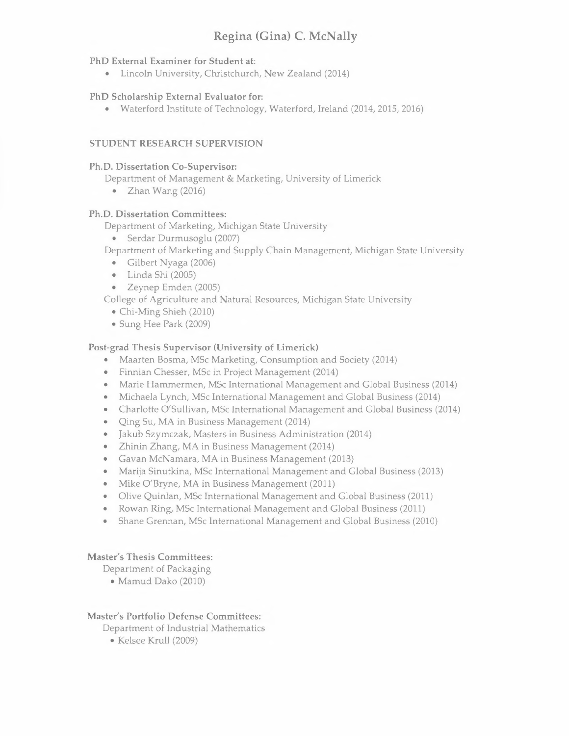### **PhD External Examiner for Student at:**

• Lincoln University, Christchurch, New Zealand (2014)

# **PhD Scholarship External Evaluator for:**

• Waterford Institute of Technology, Waterford, Ireland (2014, 2015, 2016)

# **STUDENT RESEARCH SUPERVISION**

### **Ph.D. Dissertation Co-Supervisor:**

Department of Management & Marketing, University of Limerick

• Zhan Wang (2016)

# **Ph.D. Dissertation Committees:**

Department of Marketing, Michigan State University

• Serdar Durmusoglu (2007)

Department of Marketing and Supply Chain Management, Michigan State University

- Gilbert Nyaga (2006)
- Linda Shi (2005)
- Zeynep Emden (2005)

College of Agriculture and Natural Resources, Michigan State University

- Chi-Ming Shieh (2010)
- Sung Hee Park (2009)

# **Post-grad Thesis Supervisor (University of Limerick)**

- Maarten Bosma, MSc Marketing, Consumption and Society (2014)
- Finnian Chesser, MSc in Project Management (2014)
- Marie Hammermen, MSc International Management and Global Business (2014)
- Michaela Lynch, MSc International Management and Global Business (2014)
- Charlotte O'Sullivan, MSc International Management and Global Business (2014)
- Qing Su, MA in Business Management (2014)
- Jakub Szymczak, Masters in Business Administration (2014)
- Zhinin Zhang, MA in Business Management (2014)
- Gavan McNamara, MA in Business Management (2013)
- Marija Sinutkina, MSc International Management and Global Business (2013)
- Mike O'Bryne, MA in Business Management (2011)
- Olive Quinlan, MSc International Management and Global Business (2011)
- Rowan Ring, MSc International Management and Global Business (2011)
- Shane Grennan, MSc International Management and Global Business (2010)

# **Master's Thesis Committees:**

Department of Packaging

• Mamud Dako (2010)

# **Master's Portfolio Defense Committees:**

Department of Industrial Mathematics

• Kelsee Krull (2009)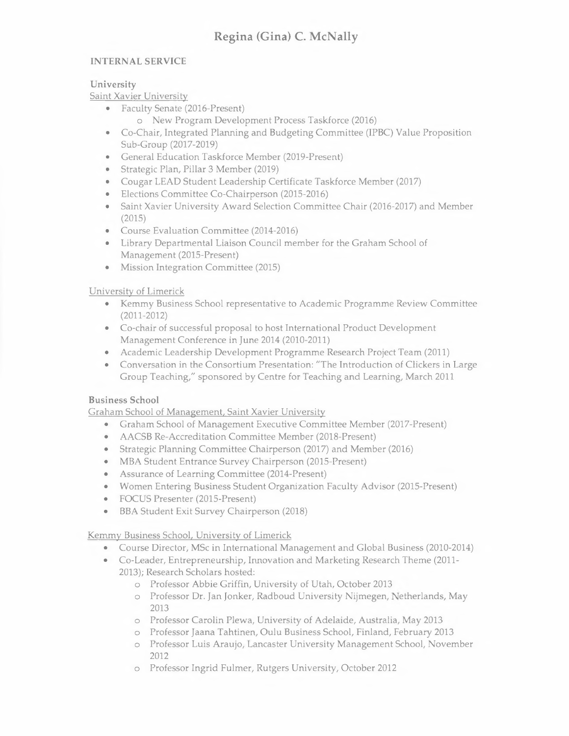# **INTERNAL SERVICE**

### **University**

Saint Xavier University

- Faculty Senate (2016-Present)
	- o New Program Development Process Taskforce (2016)
- Co-Chair, Integrated Planning and Budgeting Committee (IPBC) Value Proposition Sub-Group (2017-2019)
- General Education Taskforce Member (2019-Present)
- Strategic Plan, Pillar 3 Member (2019)
- Cougar LEAD Student Leadership Certificate Taskforce Member (2017)
- Elections Committee Co-Chairperson (2015-2016)
- Saint Xavier University Award Selection Committee Chair (2016-2017) and Member (2015)
- Course Evaluation Committee (2014-2016)
- Library Departmental Liaison Council member for the Graham School of Management (2015-Present)
- Mission Integration Committee (2015)

# University of Limerick

- Kemmy Business School representative to Academic Programme Review Committee (2011-2012)
- Co-chair of successful proposal to host International Product Development Management Conference in June 2014 (2010-2011)
- Academic Leadership Development Programme Research Project Team (2011)
- Conversation in the Consortium Presentation: "The Introduction of Clickers in Large Group Teaching," sponsored by Centre for Teaching and Learning, March 2011

# **Business School**

Graham School of Management, Saint Xavier University

- Graham School of Management Executive Committee Member (2017-Present)
- AACSB Re-Accreditation Committee Member (2018-Present)
- Strategic Planning Committee Chairperson (2017) and Member (2016)
- MBA Student Entrance Survey Chairperson (2015-Present)
- Assurance of Learning Committee (2014-Present)
- Women Entering Business Student Organization Faculty Advisor (2015-Present)
- FOCUS Presenter (2015-Present)
- BBA Student Exit Survey Chairperson (2018)

Kemmy Business School, University of Limerick

- Course Director, MSc in International Management and Global Business (2010-2014)
- Co-Leader, Entrepreneurship, Innovation and Marketing Research Theme (2011- 2013); Research Scholars hosted:
	- o Professor Abbie Griffin, University of Utah, October 2013
	- o Professor Dr. Jan Jonker, Radboud University Nijmegen, Netherlands, May 2013
	- o Professor Carolin Plewa, University of Adelaide, Australia, May 2013
	- o Professor Jaana Tahtinen, Oulu Business School, Finland, February 2013
	- o Professor Luis Araujo, Lancaster University Management School, November 2012
	- o Professor Ingrid Fulmer, Rutgers University, October 2012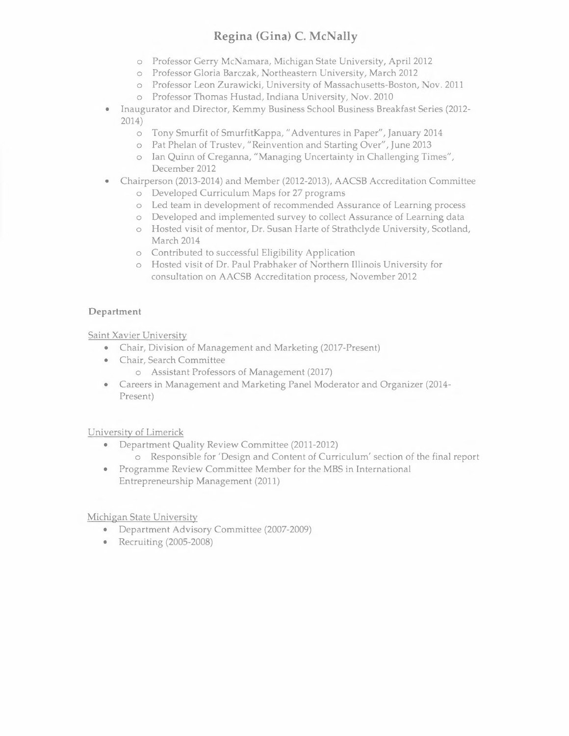- o Professor Gerry McNamara, Michigan State University, April 2012
- o Professor Gloria Barczak, Northeastern University, March 2012
- o Professor Leon Zurawicki, University of Massachusetts-Boston, Nov. 2011
- o Professor Thomas Hustad, Indiana University, Nov. 2010
- Inaugurator and Director, Kemmy Business School Business Breakfast Series (2012- 2014)
	- o Tony Smurfit of SmurfitKappa, "Adventures in Paper", January 2014
	- o Pat Phelan of Trustev, "Reinvention and Starting Over", June 2013
	- o Ian Quinn of Creganna, "Managing Uncertainty in Challenging Times", December 2012

### • Chairperson (2013-2014) and Member (2012-2013), AACSB Accreditation Committee o Developed Curriculum Maps for 27 programs

- o Led team in development of recommended Assurance of Learning process
- o Developed and implemented survey to collect Assurance of Learning data
- o Hosted visit of mentor, Dr. Susan Harte of Strathclyde University, Scotland, March 2014
- o Contributed to successful Eligibility Application
- o Hosted visit of Dr. Paul Prabhaker of Northern Illinois University for consultation on AACSB Accreditation process, November 2012

# **Department**

Saint Xavier University

- Chair, Division of Management and Marketing (2017-Present)
- Chair, Search Committee
	- o Assistant Professors of Management (2017)
- Careers in Management and Marketing Panel Moderator and Organizer (2014- Present)

University of Limerick

- Department Quality Review Committee (2011-2012) o Responsible for 'Design and Content of Curriculum' section of the final report
- Programme Review Committee Member for the MBS in International Entrepreneurship Management (2011)

Michigan State University

- Department Advisory Committee (2007-2009)
- Recruiting (2005-2008)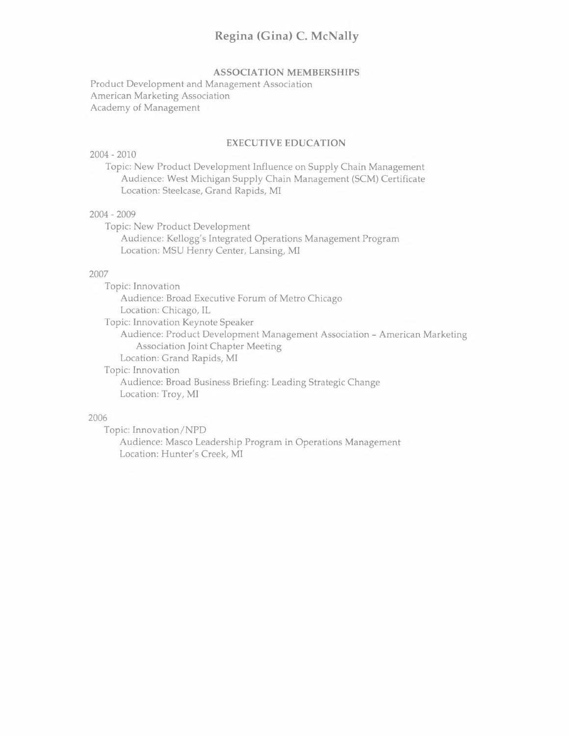### **ASSOCIATION MEMBERSHIPS**

Product Development and Management Association American Marketing Association Academy of Management

#### **EXECUTIVE EDUCATION**

#### 2004 - 2010

Topic: New Product Development Influence on Supply Chain Management Audience: West Michigan Supply Chain Management (SCM) Certificate Location: Steelcase, Grand Rapids, MI

#### 2004 - 2009

Topic: New Product Development Audience: Kellogg's Integrated Operations Management Program Location: MSU Henry Center, Lansing, MI

#### 2007

Topic: Innovation Audience: Broad Executive Forum of Metro Chicago Location: Chicago, IL Topic: Innovation Keynote Speaker Audience: Product Development Management Association - American Marketing Association Joint Chapter Meeting Location: Grand Rapids, MI Topic: Innovation Audience: Broad Business Briefing: Leading Strategic Change

Location: Troy, **MI** 

#### 2006

Topic: Innovation/NPD Audience: Masco Leadership Program in Operations Management Location: Hunter's Creek, **MI**